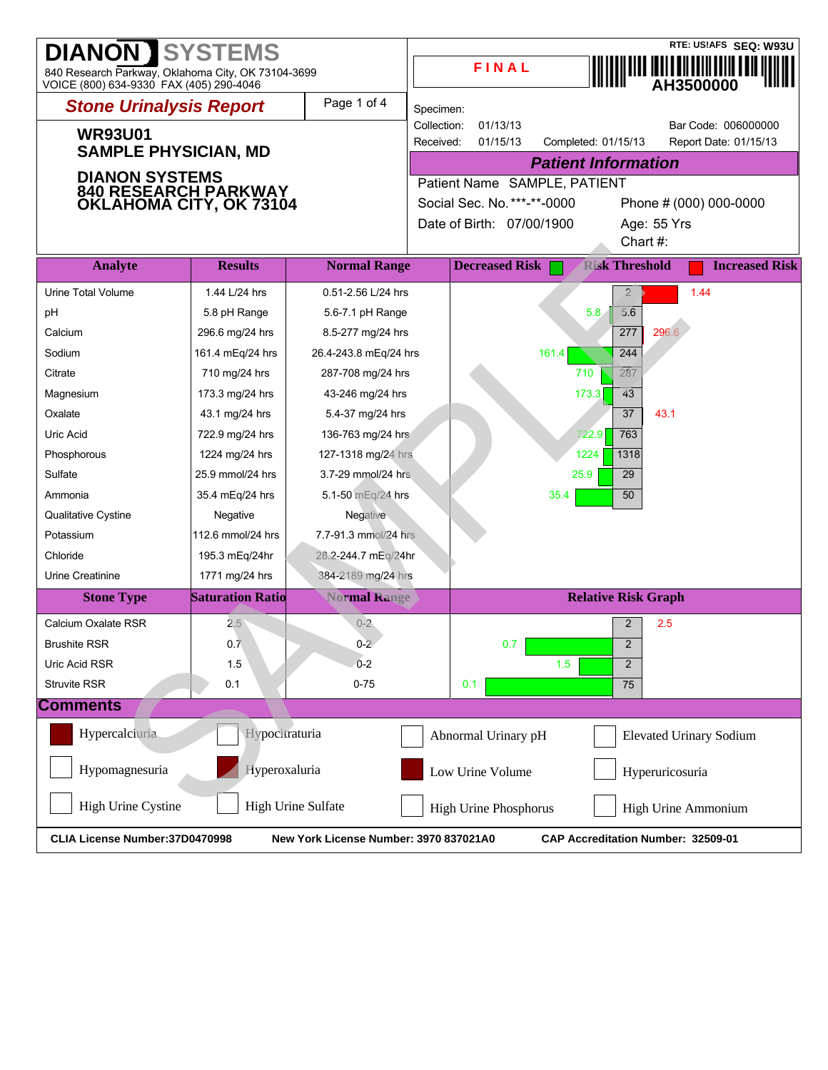| <b>DIANON 】</b><br><b>SYSTEMS</b><br>840 Research Parkway, Oklahoma City, OK 73104-3699<br>VOICE (800) 634-9330 FAX (405) 290-4046 |                                                                    |                       |                                                       | FINAL                     |                            |                            | RTE: US!AFS SEQ: W93U<br>AH3500000 |  |
|------------------------------------------------------------------------------------------------------------------------------------|--------------------------------------------------------------------|-----------------------|-------------------------------------------------------|---------------------------|----------------------------|----------------------------|------------------------------------|--|
| <b>Stone Urinalysis Report</b>                                                                                                     |                                                                    | Page 1 of 4           | Specimen:                                             |                           |                            |                            |                                    |  |
|                                                                                                                                    |                                                                    |                       | Collection:                                           | 01/13/13                  |                            |                            | Bar Code: 006000000                |  |
| <b>WR93U01</b>                                                                                                                     |                                                                    |                       | Received:                                             | 01/15/13                  | Completed: 01/15/13        |                            | Report Date: 01/15/13              |  |
| <b>SAMPLE PHYSICIAN, MD</b>                                                                                                        |                                                                    |                       |                                                       |                           | <b>Patient Information</b> |                            |                                    |  |
| <b>DIANON SYSTEMS</b>                                                                                                              |                                                                    |                       | Patient Name SAMPLE, PATIENT                          |                           |                            |                            |                                    |  |
| <b>840 RESEARCH PARKWAY<br/>OKLAHOMA CITY, OK 73104</b>                                                                            |                                                                    |                       | Social Sec. No. ***-**-0000<br>Phone # (000) 000-0000 |                           |                            |                            |                                    |  |
|                                                                                                                                    |                                                                    |                       |                                                       | Date of Birth: 07/00/1900 |                            | Age: 55 Yrs                |                                    |  |
|                                                                                                                                    |                                                                    |                       |                                                       |                           |                            | Chart#:                    |                                    |  |
| <b>Analyte</b>                                                                                                                     | <b>Results</b>                                                     | <b>Normal Range</b>   |                                                       | <b>Decreased Risk</b>     |                            | <b>Risk Threshold</b>      | <b>Increased Risk</b>              |  |
| Urine Total Volume                                                                                                                 | 1.44 L/24 hrs                                                      | 0.51-2.56 L/24 hrs    |                                                       |                           |                            | $\overline{2}$             | 1.44                               |  |
| pH                                                                                                                                 | 5.8 pH Range                                                       | 5.6-7.1 pH Range      |                                                       |                           | 5.8                        | 5.6                        |                                    |  |
| Calcium                                                                                                                            | 296.6 mg/24 hrs                                                    | 8.5-277 mg/24 hrs     |                                                       |                           |                            | 277<br>296.6               |                                    |  |
| Sodium                                                                                                                             | 161.4 mEq/24 hrs                                                   | 26.4-243.8 mEq/24 hrs |                                                       |                           | 161.4                      | 244                        |                                    |  |
| Citrate                                                                                                                            | 710 mg/24 hrs                                                      | 287-708 mg/24 hrs     |                                                       |                           | 710                        | 287                        |                                    |  |
| Magnesium                                                                                                                          | 173.3 mg/24 hrs                                                    | 43-246 mg/24 hrs      |                                                       |                           | 173.3                      | 43                         |                                    |  |
| Oxalate                                                                                                                            | 43.1 mg/24 hrs                                                     | 5.4-37 mg/24 hrs      |                                                       |                           |                            | 37<br>43.1                 |                                    |  |
| Uric Acid                                                                                                                          | 722.9 mg/24 hrs                                                    | 136-763 mg/24 hrs     |                                                       |                           | 722.9                      | 763                        |                                    |  |
| Phosphorous                                                                                                                        | 1224 mg/24 hrs                                                     | 127-1318 mg/24 hrs    |                                                       |                           | 1224                       | 1318                       |                                    |  |
| Sulfate                                                                                                                            | 25.9 mmol/24 hrs                                                   | 3.7-29 mmol/24 hrs    |                                                       |                           | 25.9                       | 29                         |                                    |  |
| Ammonia                                                                                                                            | 35.4 mEg/24 hrs                                                    | 5.1-50 mEq/24 hrs     |                                                       |                           | 35.4                       | 50                         |                                    |  |
| Qualitative Cystine                                                                                                                | Negative                                                           | Negative              |                                                       |                           |                            |                            |                                    |  |
| Potassium                                                                                                                          | 112.6 mmol/24 hrs                                                  | 7.7-91.3 mmol/24 hrs  |                                                       |                           |                            |                            |                                    |  |
| Chloride                                                                                                                           | 195.3 mEq/24hr                                                     | 28.2-244.7 mEg/24hr   |                                                       |                           |                            |                            |                                    |  |
| Urine Creatinine                                                                                                                   | 1771 mg/24 hrs                                                     | 384-2189 mg/24 hrs    |                                                       |                           |                            |                            |                                    |  |
| <b>Stone Type</b>                                                                                                                  | <b>Saturation Ratio</b>                                            | <b>Normal Range</b>   |                                                       |                           |                            | <b>Relative Risk Graph</b> |                                    |  |
| Calcium Oxalate RSR                                                                                                                | $2.5^{\circ}$                                                      | $0 - 2$               |                                                       |                           |                            | 2<br>2.5                   |                                    |  |
| <b>Brushite RSR</b>                                                                                                                | 0.7                                                                | $0 - 2$               |                                                       | 0.7                       |                            | $\overline{c}$             |                                    |  |
| Uric Acid RSR                                                                                                                      | 1.5                                                                | $0 - 2$               |                                                       |                           | 1.5                        | $\overline{2}$             |                                    |  |
| <b>Struvite RSR</b>                                                                                                                | 0.1                                                                | $0 - 75$              |                                                       | 0.1                       |                            | 75                         |                                    |  |
| <b>Comments</b>                                                                                                                    |                                                                    |                       |                                                       |                           |                            |                            |                                    |  |
| Hypercalciuria                                                                                                                     | Hypocitraturia                                                     |                       |                                                       | Abnormal Urinary pH       |                            |                            | <b>Elevated Urinary Sodium</b>     |  |
| Hypomagnesuria<br>Hyperoxaluria<br>Low Urine Volume<br>Hyperuricosuria                                                             |                                                                    |                       |                                                       |                           |                            |                            |                                    |  |
| High Urine Cystine                                                                                                                 | High Urine Sulfate<br>High Urine Phosphorus<br>High Urine Ammonium |                       |                                                       |                           |                            |                            |                                    |  |
| CLIA License Number: 37D0470998<br>New York License Number: 3970 837021A0<br>CAP Accreditation Number: 32509-01                    |                                                                    |                       |                                                       |                           |                            |                            |                                    |  |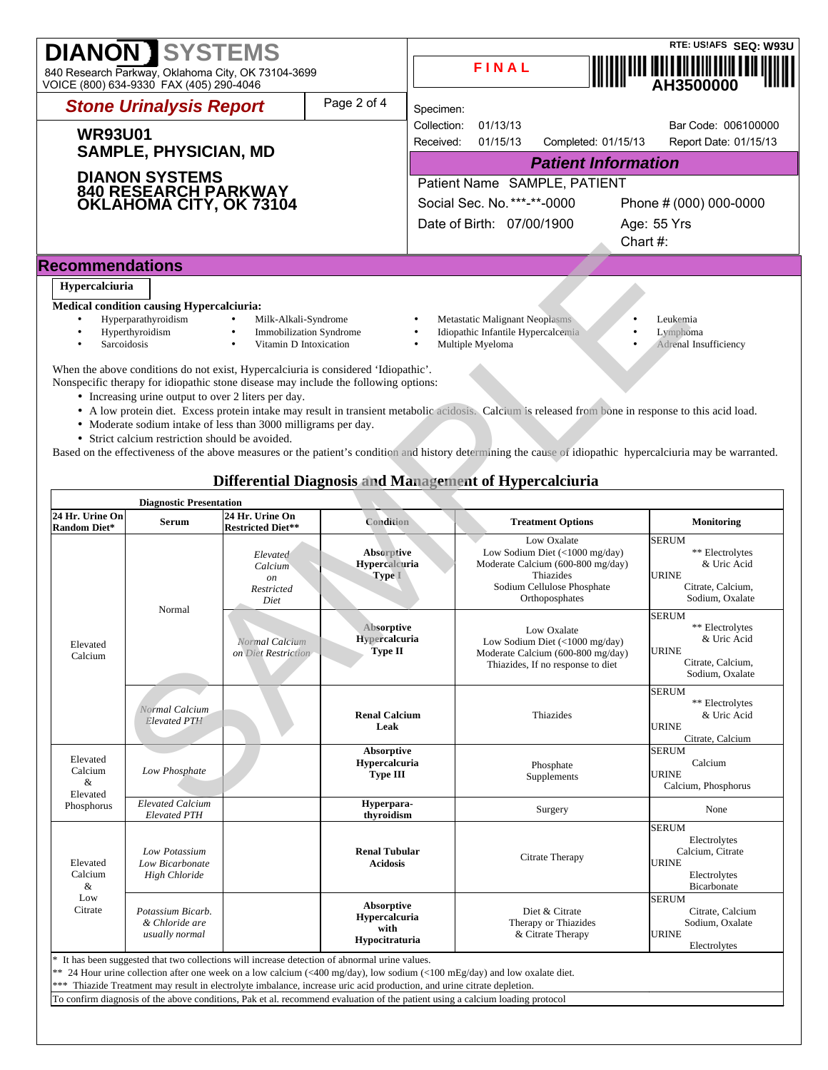| <b>DIANON SYSTEMS</b><br>840 Research Parkway, Oklahoma City, OK 73104-3699<br>VOICE (800) 634-9330 FAX (405) 290-4046                                                                                                                                                                                                                                                  |                         |                              | FINAL                                                                                    |                     |             | RTE: US!AFS SEQ: W93U<br>AH3500000            |  |  |
|-------------------------------------------------------------------------------------------------------------------------------------------------------------------------------------------------------------------------------------------------------------------------------------------------------------------------------------------------------------------------|-------------------------|------------------------------|------------------------------------------------------------------------------------------|---------------------|-------------|-----------------------------------------------|--|--|
| <b>Stone Urinalysis Report</b>                                                                                                                                                                                                                                                                                                                                          | Page 2 of 4             | Specimen:                    |                                                                                          |                     |             |                                               |  |  |
| <b>WR93U01</b><br><b>SAMPLE, PHYSICIAN, MD</b><br><b>DIANON SYSTEMS</b><br>840 RESEARCH PARKWAY<br>OKLAHOMA CITY, OK 73104                                                                                                                                                                                                                                              |                         | Collection:<br>Received:     | 01/13/13<br>01/15/13                                                                     | Completed: 01/15/13 |             | Bar Code: 006100000<br>Report Date: 01/15/13  |  |  |
|                                                                                                                                                                                                                                                                                                                                                                         |                         | <b>Patient Information</b>   |                                                                                          |                     |             |                                               |  |  |
|                                                                                                                                                                                                                                                                                                                                                                         |                         | Patient Name SAMPLE, PATIENT |                                                                                          |                     |             |                                               |  |  |
|                                                                                                                                                                                                                                                                                                                                                                         |                         |                              | Social Sec. No. ***-**-0000                                                              |                     |             | Phone # (000) 000-0000                        |  |  |
|                                                                                                                                                                                                                                                                                                                                                                         |                         |                              | Date of Birth: 07/00/1900                                                                |                     |             | Age: 55 Yrs                                   |  |  |
|                                                                                                                                                                                                                                                                                                                                                                         |                         |                              |                                                                                          |                     | Chart $#$ : |                                               |  |  |
| <b>Recommendations</b>                                                                                                                                                                                                                                                                                                                                                  |                         |                              |                                                                                          |                     |             |                                               |  |  |
| Hypercalciuria<br><b>Medical condition causing Hypercalciuria:</b><br>Hyperparathyroidism<br>Milk-Alkali-Syndrome<br>Hyperthyroidism<br>$\bullet$<br>Vitamin D Intoxication<br>Sarcoidosis<br>When the above conditions do not exist, Hypercalciuria is considered 'Idiopathic'.<br>Nonspecific therapy for idiopathic stone disease may include the following options: | Immobilization Syndrome |                              | Metastatic Malignant Neoplasms<br>Idiopathic Infantile Hypercalcemia<br>Multiple Myeloma |                     |             | Leukemia<br>Lymphoma<br>Adrenal Insufficiency |  |  |

- A low protein diet. Excess protein intake may result in transient metabolic acidosis. Calcium is released from bone in response to this acid load.
- Moderate sodium intake of less than 3000 milligrams per day.
- Strict calcium restriction should be avoided.

# **Differential Diagnosis and Management of Hypercalciuria**

|                                                    |                                                                                                        |                                                                                                                                                                                                                                             |                                                                                                                     |                                                                                                                                                                                                                                                                                                                                                                                 | Unart #.                                                                                               |
|----------------------------------------------------|--------------------------------------------------------------------------------------------------------|---------------------------------------------------------------------------------------------------------------------------------------------------------------------------------------------------------------------------------------------|---------------------------------------------------------------------------------------------------------------------|---------------------------------------------------------------------------------------------------------------------------------------------------------------------------------------------------------------------------------------------------------------------------------------------------------------------------------------------------------------------------------|--------------------------------------------------------------------------------------------------------|
| <b>Recommendations</b>                             |                                                                                                        |                                                                                                                                                                                                                                             |                                                                                                                     |                                                                                                                                                                                                                                                                                                                                                                                 |                                                                                                        |
| Hypercalciuria                                     |                                                                                                        |                                                                                                                                                                                                                                             |                                                                                                                     |                                                                                                                                                                                                                                                                                                                                                                                 |                                                                                                        |
| $\bullet$<br>$\bullet$<br>Sarcoidosis<br>$\bullet$ | <b>Medical condition causing Hypercalciuria:</b><br>Hyperparathyroidism<br>Hyperthyroidism             | Milk-Alkali-Syndrome<br>$\bullet$<br><b>Immobilization Syndrome</b><br>$\bullet$<br>Vitamin D Intoxication                                                                                                                                  | $\bullet$<br>$\bullet$<br>$\bullet$                                                                                 | Metastatic Malignant Neoplasms<br>Idiopathic Infantile Hypercalcemia<br>٠<br>Multiple Myeloma                                                                                                                                                                                                                                                                                   | Leukemia<br>Lymphoma<br>Adrenal Insufficiency                                                          |
|                                                    | • Increasing urine output to over 2 liters per day.<br>• Strict calcium restriction should be avoided. | When the above conditions do not exist, Hypercalciuria is considered 'Idiopathic'.<br>Nonspecific therapy for idiopathic stone disease may include the following options:<br>• Moderate sodium intake of less than 3000 milligrams per day. |                                                                                                                     | • A low protein diet. Excess protein intake may result in transient metabolic acidosis. Calcium is released from bone in response to this acid load.<br>Based on the effectiveness of the above measures or the patient's condition and history determining the cause of idiopathic hypercalciuria may be warranted.<br>Differential Diagnosis and Management of Hypercalciuria |                                                                                                        |
|                                                    | <b>Diagnostic Presentation</b>                                                                         |                                                                                                                                                                                                                                             |                                                                                                                     |                                                                                                                                                                                                                                                                                                                                                                                 |                                                                                                        |
| 24 Hr. Urine On<br>Random Diet*                    | Serum                                                                                                  | 24 Hr. Urine On<br><b>Restricted Diet**</b>                                                                                                                                                                                                 | Condition                                                                                                           | <b>Treatment Options</b>                                                                                                                                                                                                                                                                                                                                                        | <b>Monitoring</b>                                                                                      |
| Elevated<br>Calcium                                | Normal                                                                                                 | Elevated<br>Calcium<br>on<br>Restricted<br>Diet                                                                                                                                                                                             | Absorptive<br>Hypercalcuria<br>Type I                                                                               | Low Oxalate<br>Low Sodium Diet (<1000 mg/day)<br>Moderate Calcium (600-800 mg/day)<br>Thiazides<br>Sodium Cellulose Phosphate<br>Orthoposphates                                                                                                                                                                                                                                 | <b>SERUM</b><br>** Electrolytes<br>& Uric Acid<br><b>URINE</b><br>Citrate, Calcium,<br>Sodium, Oxalate |
|                                                    |                                                                                                        | Normal Calcium<br>on Diet Restriction                                                                                                                                                                                                       | Absorptive<br>Hypercalcuria<br><b>Type II</b>                                                                       | Low Oxalate<br>Low Sodium Diet (<1000 mg/day)<br>Moderate Calcium (600-800 mg/day)<br>Thiazides, If no response to diet                                                                                                                                                                                                                                                         | <b>SERUM</b><br>** Electrolytes<br>& Uric Acid<br><b>URINE</b><br>Citrate, Calcium,<br>Sodium, Oxalate |
|                                                    | Normal Calcium<br><b>Elevated PTH</b>                                                                  |                                                                                                                                                                                                                                             | <b>Renal Calcium</b><br>Leak                                                                                        | Thiazides                                                                                                                                                                                                                                                                                                                                                                       | <b>SERUM</b><br>** Electrolytes<br>& Uric Acid<br><b>URINE</b><br>Citrate, Calcium                     |
| Elevated<br>Calcium<br>&<br>Elevated               | Low Phosphate                                                                                          |                                                                                                                                                                                                                                             | Absorptive<br>Hypercalcuria<br><b>Type III</b>                                                                      | Phosphate<br>Supplements                                                                                                                                                                                                                                                                                                                                                        | <b>SERUM</b><br>Calcium<br><b>URINE</b><br>Calcium, Phosphorus                                         |
| Phosphorus                                         | <b>Elevated Calcium</b><br><b>Elevated PTH</b>                                                         |                                                                                                                                                                                                                                             | Hyperpara-<br>thyroidism                                                                                            | Surgery                                                                                                                                                                                                                                                                                                                                                                         | None                                                                                                   |
| Elevated<br>Calcium<br>&                           | Low Potassium<br>Low Bicarbonate<br><b>High Chloride</b>                                               |                                                                                                                                                                                                                                             | <b>Renal Tubular</b><br><b>Acidosis</b>                                                                             | Citrate Therapy                                                                                                                                                                                                                                                                                                                                                                 | <b>SERUM</b><br>Electrolytes<br>Calcium, Citrate<br><b>URINE</b><br>Electrolytes<br>Bicarbonate        |
| Low<br>Citrate                                     | Potassium Bicarb.<br>& Chloride are<br>usually normal                                                  |                                                                                                                                                                                                                                             | Absorptive<br>Hypercalcuria<br>with<br>Hypocitraturia                                                               | Diet & Citrate<br>Therapy or Thiazides<br>& Citrate Therapy                                                                                                                                                                                                                                                                                                                     | <b>SERUM</b><br>Citrate, Calcium<br>Sodium, Oxalate<br><b>URINE</b><br>Electrolytes                    |
| ***                                                |                                                                                                        | It has been suggested that two collections will increase detection of abnormal urine values.                                                                                                                                                | Thiazide Treatment may result in electrolyte imbalance, increase uric acid production, and urine citrate depletion. | ** 24 Hour urine collection after one week on a low calcium (<400 mg/day), low sodium (<100 mEg/day) and low oxalate diet.<br>To confirm diagnosis of the above conditions, Pak et al. recommend evaluation of the patient using a calcium loading protocol                                                                                                                     |                                                                                                        |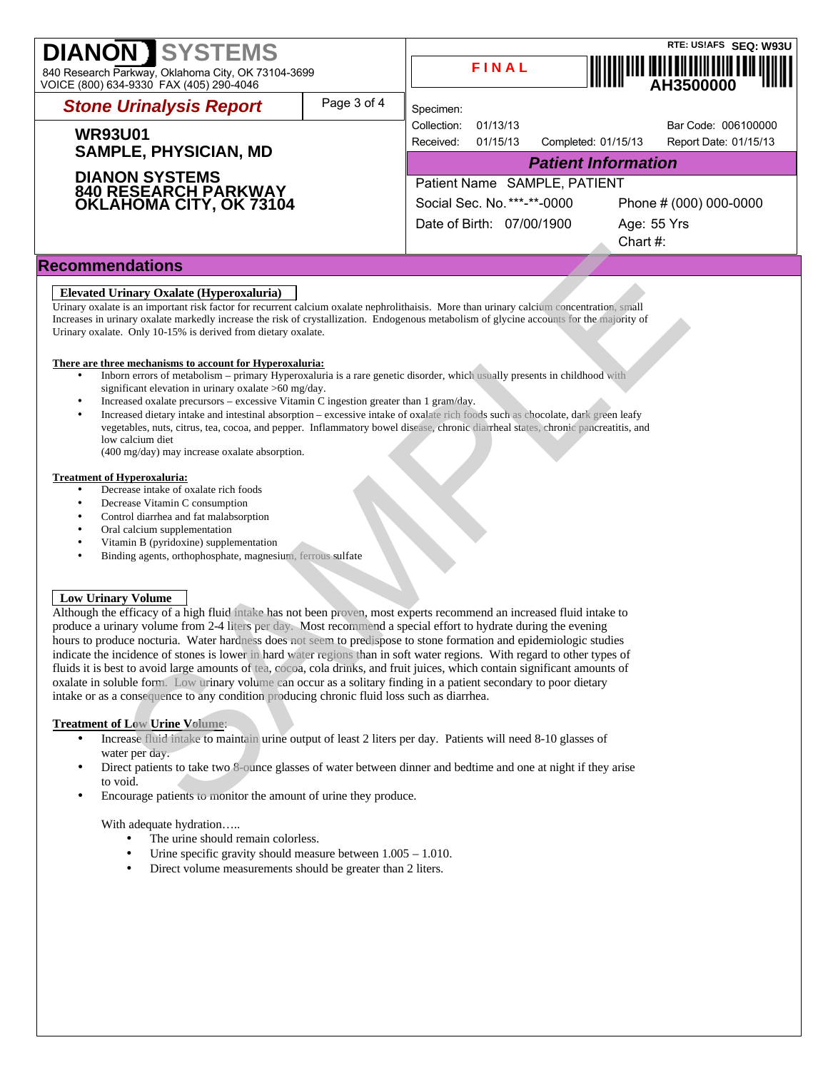| <b>DIANON SYSTEMS</b><br>840 Research Parkway, Oklahoma City, OK 73104-3699<br>VOICE (800) 634-9330 FAX (405) 290-4046 |             |                              | FINAL                       |                     |                        | RTE: US!AFS SEQ: W93U<br>, <b>                             </b>         <br>AH3500000 |  |
|------------------------------------------------------------------------------------------------------------------------|-------------|------------------------------|-----------------------------|---------------------|------------------------|---------------------------------------------------------------------------------------|--|
| <b>Stone Urinalysis Report</b>                                                                                         | Page 3 of 4 | Specimen:                    |                             |                     |                        |                                                                                       |  |
|                                                                                                                        |             | Collection:                  | 01/13/13                    |                     |                        | Bar Code: 006100000                                                                   |  |
| <b>WR93U01</b>                                                                                                         |             |                              | 01/15/13                    | Completed: 01/15/13 |                        | Report Date: 01/15/13                                                                 |  |
| <b>SAMPLE, PHYSICIAN, MD</b><br><b>DIANON SYSTEMS</b><br><b>840 RESEARCH PARKWAY<br/>OKLAHOMA CITY, OK 73104</b>       |             | <b>Patient Information</b>   |                             |                     |                        |                                                                                       |  |
|                                                                                                                        |             | Patient Name SAMPLE, PATIENT |                             |                     |                        |                                                                                       |  |
|                                                                                                                        |             |                              | Social Sec. No. ***-**-0000 |                     | Phone # (000) 000-0000 |                                                                                       |  |
|                                                                                                                        |             |                              | Date of Birth: 07/00/1900   |                     |                        | Age: 55 Yrs                                                                           |  |
|                                                                                                                        |             |                              |                             |                     | Chart #:               |                                                                                       |  |
| <b>Recommendations</b>                                                                                                 |             |                              |                             |                     |                        |                                                                                       |  |

## **Elevated Urinary Oxalate (Hyperoxaluria)**

Urinary oxalate is an important risk factor for recurrent calcium oxalate nephrolithaisis. More than urinary calcium concentration, small Increases in urinary oxalate markedly increase the risk of crystallization. Endogenous metabolism of glycine accounts for the majority of Urinary oxalate. Only 10-15% is derived from dietary oxalate.

#### **There are three mechanisms to account for Hyperoxaluria:**

- Inborn errors of metabolism primary Hyperoxaluria is a rare genetic disorder, which usually presents in childhood with significant elevation in urinary oxalate >60 mg/day.
- Increased oxalate precursors excessive Vitamin C ingestion greater than 1 gram/day.
- Increased dietary intake and intestinal absorption excessive intake of oxalate rich foods such as chocolate, dark green leafy vegetables, nuts, citrus, tea, cocoa, and pepper. Inflammatory bowel disease, chronic diarrheal states, chronic pancreatitis, and low calcium diet

(400 mg/day) may increase oxalate absorption.

#### **Treatment of Hyperoxaluria:**

- Decrease intake of oxalate rich foods
- Decrease Vitamin C consumption
- Control diarrhea and fat malabsorption
- Oral calcium supplementation
- Vitamin B (pyridoxine) supplementation
- Binding agents, orthophosphate, magnesium, ferrous sulfate

## **Low Urinary Volume**

Although the efficacy of a high fluid intake has not been proven, most experts recommend an increased fluid intake to produce a urinary volume from 2-4 liters per day. Most recommend a special effort to hydrate during the evening hours to produce nocturia. Water hardness does not seem to predispose to stone formation and epidemiologic studies indicate the incidence of stones is lower in hard water regions than in soft water regions. With regard to other types of fluids it is best to avoid large amounts of tea, cocoa, cola drinks, and fruit juices, which contain significant amounts of oxalate in soluble form. Low urinary volume can occur as a solitary finding in a patient secondary to poor dietary intake or as a consequence to any condition producing chronic fluid loss such as diarrhea. **CHEAPY**<br> **CHEAPY**<br> **CHEAPY**<br> **CHEAPY**<br> **CHEAPY**<br> **CHEAPY**<br> **CHEAPY**<br> **CHEAPY**<br> **CHEAPY**<br> **CHEAPY**<br> **CHEAPY**<br> **CHEAPY**<br> **CHEAPY**<br> **CHEAPY**<br> **CHEAPY**<br> **CHEAPY**<br> **CHEAPY**<br> **CHEAPY**<br> **CHEAPY**<br> **CHEAPY**<br> **CHEAPY**<br> **CHEAPY**<br> **C** 

## **Treatment of Low Urine Volume**:

- Increase fluid intake to maintain urine output of least 2 liters per day. Patients will need 8-10 glasses of water per day.
- Direct patients to take two 8-ounce glasses of water between dinner and bedtime and one at night if they arise to void.
- Encourage patients to monitor the amount of urine they produce.

## With adequate hydration…..

- The urine should remain colorless.
- Urine specific gravity should measure between  $1.005 1.010$ .
- Direct volume measurements should be greater than 2 liters.